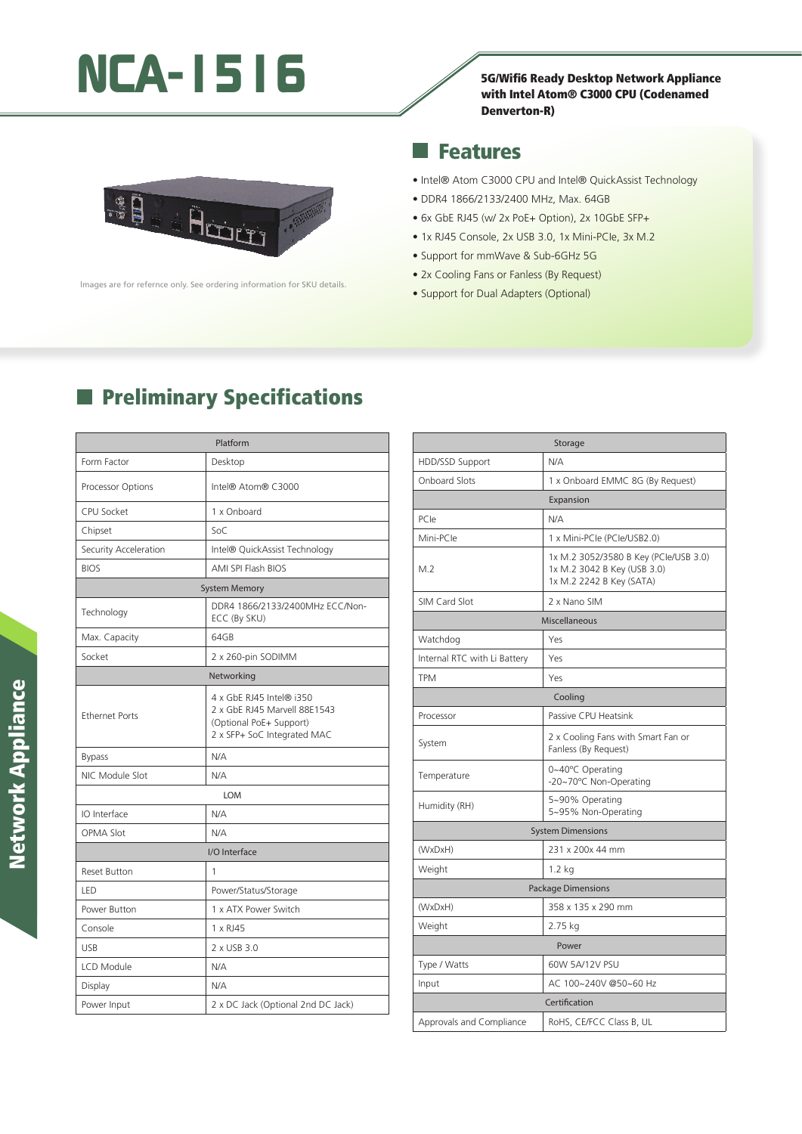# NCA-1516<br>
Fach Standy Desktop Network Appliance

#### with Intel Atom® C3000 CPU (Codenamed Denverton-R)



lmages are for refernce only. See ordering information for SKU details.

#### Features ×.

- Intel® Atom C3000 CPU and Intel® QuickAssist Technology
- DDR4 1866/2133/2400 MHz, Max. 64GB
- 6x GbE RJ45 (w/ 2x PoE+ Option), 2x 10GbE SFP+
- 1x RJ45 Console, 2x USB 3.0, 1x Mini-PCIe, 3x M.2
- Support for mmWave & Sub-6GHz 5G
- 2x Cooling Fans or Fanless (By Request)
- Support for Dual Adapters (Optional)

### **Preliminary Specifications**

|                       | Platform                                                                                                           |
|-----------------------|--------------------------------------------------------------------------------------------------------------------|
| Form Factor           | Desktop                                                                                                            |
| Processor Options     | Intel® Atom® C3000                                                                                                 |
| <b>CPU Socket</b>     | 1 x Onboard                                                                                                        |
| Chipset               | SoC                                                                                                                |
| Security Acceleration | Intel® QuickAssist Technology                                                                                      |
| <b>BIOS</b>           | AMI SPI Flash BIOS                                                                                                 |
|                       | <b>System Memory</b>                                                                                               |
| Technology            | DDR4 1866/2133/2400MHz ECC/Non-<br>ECC (By SKU)                                                                    |
| Max. Capacity         | 64GB                                                                                                               |
| Socket                | 2 x 260-pin SODIMM                                                                                                 |
|                       | Networking                                                                                                         |
| <b>Ethernet Ports</b> | 4 x GbE RJ45 Intel® i350<br>2 x GbE RJ45 Marvell 88E1543<br>(Optional PoE+ Support)<br>2 x SFP+ SoC Integrated MAC |
| <b>Bypass</b>         | N/A                                                                                                                |
| NIC Module Slot       | N/A                                                                                                                |
|                       | LOM                                                                                                                |
| IO Interface          | N/A                                                                                                                |
| <b>OPMA Slot</b>      | N/A                                                                                                                |
|                       | I/O Interface                                                                                                      |
| <b>Reset Button</b>   | 1                                                                                                                  |
| LED                   | Power/Status/Storage                                                                                               |
| Power Button          | 1 x ATX Power Switch                                                                                               |
| Console               | 1 x RJ45                                                                                                           |
| <b>USB</b>            | 2 x USB 3.0                                                                                                        |
| LCD Module            | N/A                                                                                                                |
| Display               | N/A                                                                                                                |
| Power Input           | 2 x DC Jack (Optional 2nd DC Jack)                                                                                 |

| Storage                      |                                                                                                  |  |
|------------------------------|--------------------------------------------------------------------------------------------------|--|
| HDD/SSD Support              | N/A                                                                                              |  |
| <b>Onboard Slots</b>         | 1 x Onboard EMMC 8G (By Request)                                                                 |  |
|                              | Expansion                                                                                        |  |
| PCIe                         | N/A                                                                                              |  |
| Mini-PCle                    | 1 x Mini-PCle (PCle/USB2.0)                                                                      |  |
| M.2                          | 1x M.2 3052/3580 B Key (PCle/USB 3.0)<br>1x M.2 3042 B Key (USB 3.0)<br>1x M.2 2242 B Key (SATA) |  |
| SIM Card Slot                | 2 x Nano SIM                                                                                     |  |
| Miscellaneous                |                                                                                                  |  |
| Watchdog                     | Yes                                                                                              |  |
| Internal RTC with Li Battery | Yes                                                                                              |  |
| <b>TPM</b>                   | Yes                                                                                              |  |
|                              | Cooling                                                                                          |  |
| Processor                    | Passive CPU Heatsink                                                                             |  |
| System                       | 2 x Cooling Fans with Smart Fan or<br>Fanless (By Request)                                       |  |
| Temperature                  | 0~40°C Operating<br>-20~70°C Non-Operating                                                       |  |
| Humidity (RH)                | 5~90% Operating<br>5~95% Non-Operating                                                           |  |
|                              | <b>System Dimensions</b>                                                                         |  |
| (WxDxH)                      | 231 x 200x 44 mm                                                                                 |  |
| Weight                       | 1.2 kg                                                                                           |  |
|                              | <b>Package Dimensions</b>                                                                        |  |
| (WxDxH)                      | 358 x 135 x 290 mm                                                                               |  |
| Weight                       | 2.75 kg                                                                                          |  |
|                              | Power                                                                                            |  |
| Type / Watts                 | 60W 5A/12V PSU                                                                                   |  |
| Input                        | AC 100~240V @50~60 Hz                                                                            |  |
|                              | Certification                                                                                    |  |
| Approvals and Compliance     | RoHS, CE/FCC Class B, UL                                                                         |  |